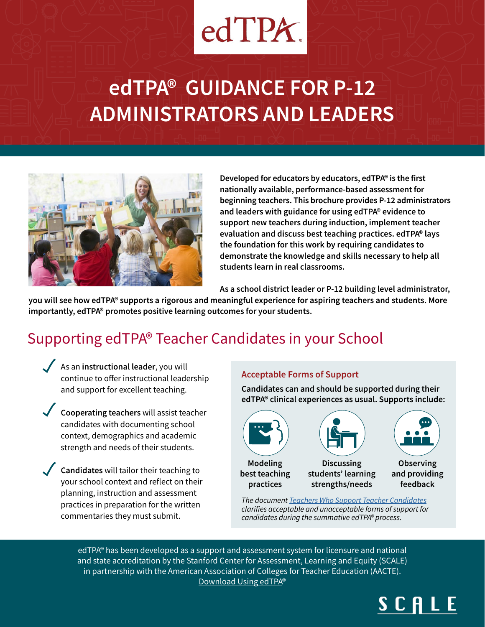# $edTPX$

# **edTPA® GUIDANCE FOR P-12 ADMINISTRATORS AND LEADERS**



**Developed for educators by educators, edTPA® is the first nationally available, performance-based assessment for beginning teachers. This brochure provides P-12 administrators and leaders with guidance for using edTPA® evidence to support new teachers during induction, implement teacher evaluation and discuss best teaching practices. edTPA® lays the foundation for this work by requiring candidates to demonstrate the knowledge and skills necessary to help all students learn in real classrooms.**

**As a school district leader or P-12 building level administrator,** 

**you will see how edTPA® supports a rigorous and meaningful experience for aspiring teachers and students. More importantly, edTPA® promotes positive learning outcomes for your students.** 

## Supporting edTPA® Teacher Candidates in your School

- As an **instructional leader**, you will continue to offer instructional leadership and support for excellent teaching.
- **Cooperating teachers** will assist teacher candidates with documenting school context, demographics and academic strength and needs of their students.
- **Candidates** will tailor their teaching to your school context and reflect on their planning, instruction and assessment practices in preparation for the written commentaries they must submit.

#### **Acceptable Forms of Support**

**Candidates can and should be supported during their edTPA® clinical experiences as usual. Supports include:**



**best teaching practices** 



**Discussing students' learning strengths/needs**



**Observing and providing feedback**

*The document [Teachers Who Support Teacher Candidates](https://secure.aacte.org/apps/rl/res_get.php?fid=1619&ref=edtpa)* clarifies acceptable and unacceptable forms of support for *candidates during the summative edTPA® process.*

edTPA® has been developed as a support and assessment system for licensure and national and state accreditation by the Stanford Center for Assessment, Learning and Equity (SCALE) in partnership with the American Association of Colleges for Teacher Education (AACTE). [Download Using edTPA](https://secure.aacte.org/apps/rl/res_get.php?fid=796&ref=edtpa)®

# SCALE